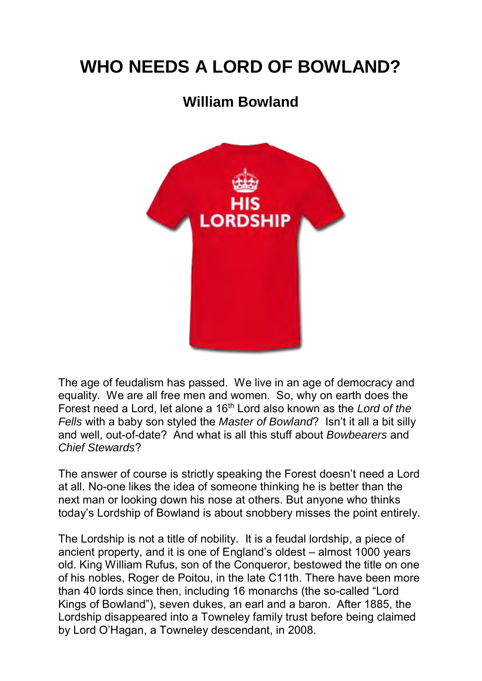## **WHO NEEDS A LORD OF BOWLAND?**

## **William Bowland**



The age of feudalism has passed. We live in an age of democracy and equality. We are all free men and women. So, why on earth does the Forest need a Lord, let alone a 16<sup>th</sup> Lord also known as the *Lord of the Fells* with a baby son styled the *Master of Bowland*? Isn't it all a bit silly and well, out-of-date? And what is all this stuff about *Bowbearers* and *Chief Stewards*?

The answer of course is strictly speaking the Forest doesn't need a Lord at all. No-one likes the idea of someone thinking he is better than the next man or looking down his nose at others. But anyone who thinks today's Lordship of Bowland is about snobbery misses the point entirely.

The Lordship is not a title of nobility. It is a feudal lordship, a piece of ancient property, and it is one of England's oldest – almost 1000 years old. King William Rufus, son of the Conqueror, bestowed the title on one of his nobles, Roger de Poitou, in the late C11th. There have been more than 40 lords since then, including 16 monarchs (the so-called "Lord Kings of Bowland"), seven dukes, an earl and a baron. After 1885, the Lordship disappeared into a Towneley family trust before being claimed by Lord O'Hagan, a Towneley descendant, in 2008.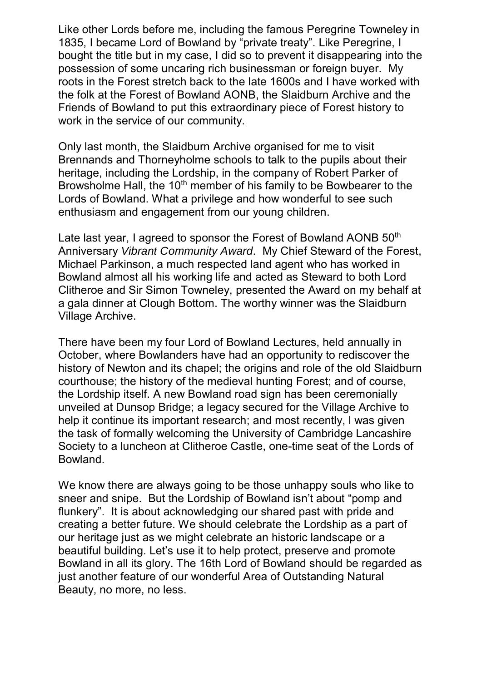Like other Lords before me, including the famous Peregrine Towneley in 1835, I became Lord of Bowland by "private treaty". Like Peregrine, I bought the title but in my case, I did so to prevent it disappearing into the possession of some uncaring rich businessman or foreign buyer. My roots in the Forest stretch back to the late 1600s and I have worked with the folk at the Forest of Bowland AONB, the Slaidburn Archive and the Friends of Bowland to put this extraordinary piece of Forest history to work in the service of our community.

Only last month, the Slaidburn Archive organised for me to visit Brennands and Thorneyholme schools to talk to the pupils about their heritage, including the Lordship, in the company of Robert Parker of Browsholme Hall, the 10<sup>th</sup> member of his family to be Bowbearer to the Lords of Bowland. What a privilege and how wonderful to see such enthusiasm and engagement from our young children.

Late last year, I agreed to sponsor the Forest of Bowland AONB 50<sup>th</sup> Anniversary *Vibrant Community Award*. My Chief Steward of the Forest, Michael Parkinson, a much respected land agent who has worked in Bowland almost all his working life and acted as Steward to both Lord Clitheroe and Sir Simon Towneley, presented the Award on my behalf at a gala dinner at Clough Bottom. The worthy winner was the Slaidburn Village Archive.

There have been my four Lord of Bowland Lectures, held annually in October, where Bowlanders have had an opportunity to rediscover the history of Newton and its chapel; the origins and role of the old Slaidburn courthouse; the history of the medieval hunting Forest; and of course, the Lordship itself. A new Bowland road sign has been ceremonially unveiled at Dunsop Bridge; a legacy secured for the Village Archive to help it continue its important research; and most recently, I was given the task of formally welcoming the University of Cambridge Lancashire Society to a luncheon at Clitheroe Castle, one-time seat of the Lords of Bowland.

We know there are always going to be those unhappy souls who like to sneer and snipe. But the Lordship of Bowland isn't about "pomp and flunkery". It is about acknowledging our shared past with pride and creating a better future. We should celebrate the Lordship as a part of our heritage just as we might celebrate an historic landscape or a beautiful building. Let's use it to help protect, preserve and promote Bowland in all its glory. The 16th Lord of Bowland should be regarded as just another feature of our wonderful Area of Outstanding Natural Beauty, no more, no less.